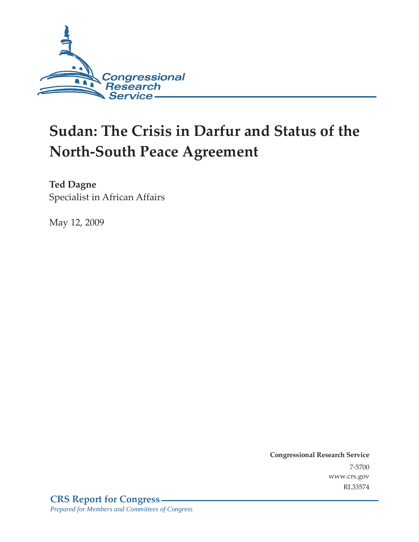

# **Sudan: The Crisis in Darfur and Status of the North-South Peace Agreement**

**Ted Dagne**  Specialist in African Affairs

May 12, 2009

**Congressional Research Service** 7-5700 www.crs.gov RL33574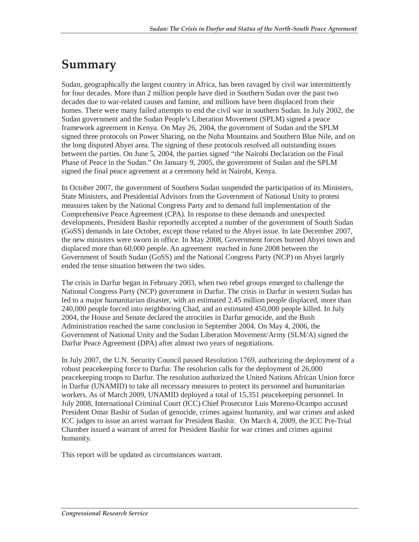## **Summary**

Sudan, geographically the largest country in Africa, has been ravaged by civil war intermittently for four decades. More than 2 million people have died in Southern Sudan over the past two decades due to war-related causes and famine, and millions have been displaced from their homes. There were many failed attempts to end the civil war in southern Sudan. In July 2002, the Sudan government and the Sudan People's Liberation Movement (SPLM) signed a peace framework agreement in Kenya. On May 26, 2004, the government of Sudan and the SPLM signed three protocols on Power Sharing, on the Nuba Mountains and Southern Blue Nile, and on the long disputed Abyei area. The signing of these protocols resolved all outstanding issues between the parties. On June 5, 2004, the parties signed "the Nairobi Declaration on the Final Phase of Peace in the Sudan." On January 9, 2005, the government of Sudan and the SPLM signed the final peace agreement at a ceremony held in Nairobi, Kenya.

In October 2007, the government of Southern Sudan suspended the participation of its Ministers, State Ministers, and Presidential Advisors from the Government of National Unity to protest measures taken by the National Congress Party and to demand full implementation of the Comprehensive Peace Agreement (CPA). In response to these demands and unexpected developments, President Bashir reportedly accepted a number of the government of South Sudan (GoSS) demands in late October, except those related to the Abyei issue. In late December 2007, the new ministers were sworn in office. In May 2008, Government forces burned Abyei town and displaced more than 60,000 people. An agreement reached in June 2008 between the Government of South Sudan (GoSS) and the National Congress Party (NCP) on Abyei largely ended the tense situation between the two sides.

The crisis in Darfur began in February 2003, when two rebel groups emerged to challenge the National Congress Party (NCP) government in Darfur. The crisis in Darfur in western Sudan has led to a major humanitarian disaster, with an estimated 2.45 million people displaced, more than 240,000 people forced into neighboring Chad, and an estimated 450,000 people killed. In July 2004, the House and Senate declared the atrocities in Darfur genocide, and the Bush Administration reached the same conclusion in September 2004. On May 4, 2006, the Government of National Unity and the Sudan Liberation Movement/Army (SLM/A) signed the Darfur Peace Agreement (DPA) after almost two years of negotiations.

In July 2007, the U.N. Security Council passed Resolution 1769, authorizing the deployment of a robust peacekeeping force to Darfur. The resolution calls for the deployment of 26,000 peacekeeping troops to Darfur. The resolution authorized the United Nations African Union force in Darfur (UNAMID) to take all necessary measures to protect its personnel and humanitarian workers. As of March 2009, UNAMID deployed a total of 15,351 peacekeeping personnel. In July 2008, International Criminal Court (ICC) Chief Prosecutor Luis Moreno-Ocampo accused President Omar Bashir of Sudan of genocide, crimes against humanity, and war crimes and asked ICC judges to issue an arrest warrant for President Bashir. On March 4, 2009, the ICC Pre-Trial Chamber issued a warrant of arrest for President Bashir for war crimes and crimes against humanity.

This report will be updated as circumstances warrant.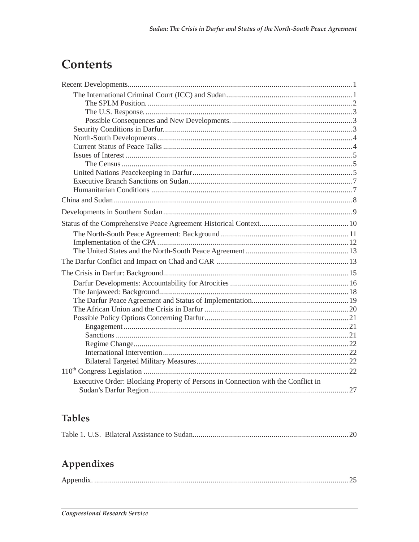## Contents

| Executive Order: Blocking Property of Persons in Connection with the Conflict in |  |
|----------------------------------------------------------------------------------|--|
|                                                                                  |  |

## **Tables**

|--|--|--|

## Appendixes

|--|--|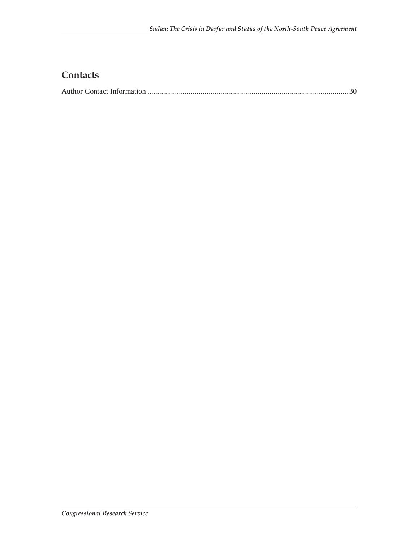## **Contacts**

|--|--|--|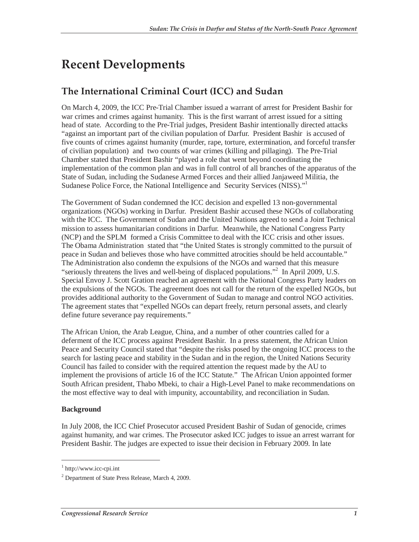## **Recent Developments**

## **The International Criminal Court (ICC) and Sudan**

On March 4, 2009, the ICC Pre-Trial Chamber issued a warrant of arrest for President Bashir for war crimes and crimes against humanity. This is the first warrant of arrest issued for a sitting head of state. According to the Pre-Trial judges, President Bashir intentionally directed attacks "against an important part of the civilian population of Darfur. President Bashir is accused of five counts of crimes against humanity (murder, rape, torture, extermination, and forceful transfer of civilian population) and two counts of war crimes (killing and pillaging). The Pre-Trial Chamber stated that President Bashir "played a role that went beyond coordinating the implementation of the common plan and was in full control of all branches of the apparatus of the State of Sudan, including the Sudanese Armed Forces and their allied Janjaweed Militia, the Sudanese Police Force, the National Intelligence and Security Services (NISS)."

The Government of Sudan condemned the ICC decision and expelled 13 non-governmental organizations (NGOs) working in Darfur. President Bashir accused these NGOs of collaborating with the ICC. The Government of Sudan and the United Nations agreed to send a Joint Technical mission to assess humanitarian conditions in Darfur. Meanwhile, the National Congress Party (NCP) and the SPLM formed a Crisis Committee to deal with the ICC crisis and other issues. The Obama Administration stated that "the United States is strongly committed to the pursuit of peace in Sudan and believes those who have committed atrocities should be held accountable." The Administration also condemn the expulsions of the NGOs and warned that this measure "seriously threatens the lives and well-being of displaced populations."<sup>2</sup> In April 2009, U.S. Special Envoy J. Scott Gration reached an agreement with the National Congress Party leaders on the expulsions of the NGOs. The agreement does not call for the return of the expelled NGOs, but provides additional authority to the Government of Sudan to manage and control NGO activities. The agreement states that "expelled NGOs can depart freely, return personal assets, and clearly define future severance pay requirements."

The African Union, the Arab League, China, and a number of other countries called for a deferment of the ICC process against President Bashir. In a press statement, the African Union Peace and Security Council stated that "despite the risks posed by the ongoing ICC process to the search for lasting peace and stability in the Sudan and in the region, the United Nations Security Council has failed to consider with the required attention the request made by the AU to implement the provisions of article 16 of the ICC Statute." The African Union appointed former South African president, Thabo Mbeki, to chair a High-Level Panel to make recommendations on the most effective way to deal with impunity, accountability, and reconciliation in Sudan.

#### **Background**

-

In July 2008, the ICC Chief Prosecutor accused President Bashir of Sudan of genocide, crimes against humanity, and war crimes. The Prosecutor asked ICC judges to issue an arrest warrant for President Bashir. The judges are expected to issue their decision in February 2009. In late

<sup>1</sup> http://www.icc-cpi.int

<sup>2</sup> Department of State Press Release, March 4, 2009.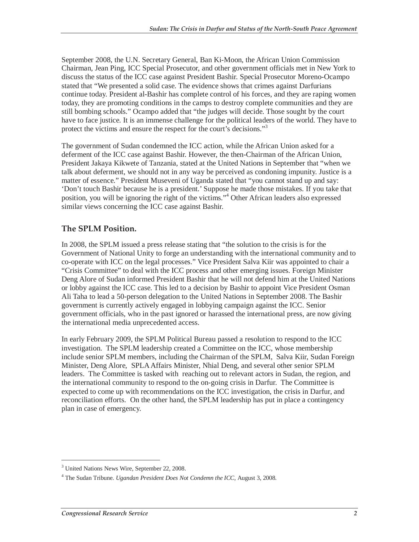September 2008, the U.N. Secretary General, Ban Ki-Moon, the African Union Commission Chairman, Jean Ping, ICC Special Prosecutor, and other government officials met in New York to discuss the status of the ICC case against President Bashir. Special Prosecutor Moreno-Ocampo stated that "We presented a solid case. The evidence shows that crimes against Darfurians continue today. President al-Bashir has complete control of his forces, and they are raping women today, they are promoting conditions in the camps to destroy complete communities and they are still bombing schools." Ocampo added that "the judges will decide. Those sought by the court have to face justice. It is an immense challenge for the political leaders of the world. They have to protect the victims and ensure the respect for the court's decisions."<sup>3</sup>

The government of Sudan condemned the ICC action, while the African Union asked for a deferment of the ICC case against Bashir. However, the then-Chairman of the African Union, President Jakaya Kikwete of Tanzania, stated at the United Nations in September that "when we talk about deferment, we should not in any way be perceived as condoning impunity. Justice is a matter of essence." President Museveni of Uganda stated that "you cannot stand up and say: 'Don't touch Bashir because he is a president.' Suppose he made those mistakes. If you take that position, you will be ignoring the right of the victims."<sup>4</sup> Other African leaders also expressed similar views concerning the ICC case against Bashir.

#### **The SPLM Position.**

In 2008, the SPLM issued a press release stating that "the solution to the crisis is for the Government of National Unity to forge an understanding with the international community and to co-operate with ICC on the legal processes." Vice President Salva Kiir was appointed to chair a "Crisis Committee" to deal with the ICC process and other emerging issues. Foreign Minister Deng Alore of Sudan informed President Bashir that he will not defend him at the United Nations or lobby against the ICC case. This led to a decision by Bashir to appoint Vice President Osman Ali Taha to lead a 50-person delegation to the United Nations in September 2008. The Bashir government is currently actively engaged in lobbying campaign against the ICC. Senior government officials, who in the past ignored or harassed the international press, are now giving the international media unprecedented access.

In early February 2009, the SPLM Political Bureau passed a resolution to respond to the ICC investigation. The SPLM leadership created a Committee on the ICC, whose membership include senior SPLM members, including the Chairman of the SPLM, Salva Kiir, Sudan Foreign Minister, Deng Alore, SPLA Affairs Minister, Nhial Deng, and several other senior SPLM leaders. The Committee is tasked with reaching out to relevant actors in Sudan, the region, and the international community to respond to the on-going crisis in Darfur. The Committee is expected to come up with recommendations on the ICC investigation, the crisis in Darfur, and reconciliation efforts. On the other hand, the SPLM leadership has put in place a contingency plan in case of emergency.

<sup>&</sup>lt;sup>3</sup> United Nations News Wire, September 22, 2008.

<sup>4</sup> The Sudan Tribune. *Ugandan President Does Not Condemn the ICC*, August 3, 2008.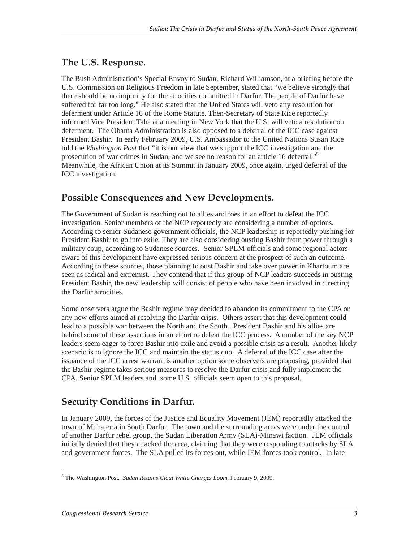### **The U.S. Response.**

The Bush Administration's Special Envoy to Sudan, Richard Williamson, at a briefing before the U.S. Commission on Religious Freedom in late September, stated that "we believe strongly that there should be no impunity for the atrocities committed in Darfur. The people of Darfur have suffered for far too long." He also stated that the United States will veto any resolution for deferment under Article 16 of the Rome Statute. Then-Secretary of State Rice reportedly informed Vice President Taha at a meeting in New York that the U.S. will veto a resolution on deferment. The Obama Administration is also opposed to a deferral of the ICC case against President Bashir. In early February 2009, U.S. Ambassador to the United Nations Susan Rice told the *Washington Post* that "it is our view that we support the ICC investigation and the prosecution of war crimes in Sudan, and we see no reason for an article 16 deferral."<sup>5</sup> Meanwhile, the African Union at its Summit in January 2009, once again, urged deferral of the ICC investigation.

## **Possible Consequences and New Developments.**

The Government of Sudan is reaching out to allies and foes in an effort to defeat the ICC investigation. Senior members of the NCP reportedly are considering a number of options. According to senior Sudanese government officials, the NCP leadership is reportedly pushing for President Bashir to go into exile. They are also considering ousting Bashir from power through a military coup, according to Sudanese sources. Senior SPLM officials and some regional actors aware of this development have expressed serious concern at the prospect of such an outcome. According to these sources, those planning to oust Bashir and take over power in Khartoum are seen as radical and extremist. They contend that if this group of NCP leaders succeeds in ousting President Bashir, the new leadership will consist of people who have been involved in directing the Darfur atrocities.

Some observers argue the Bashir regime may decided to abandon its commitment to the CPA or any new efforts aimed at resolving the Darfur crisis. Others assert that this development could lead to a possible war between the North and the South. President Bashir and his allies are behind some of these assertions in an effort to defeat the ICC process. A number of the key NCP leaders seem eager to force Bashir into exile and avoid a possible crisis as a result. Another likely scenario is to ignore the ICC and maintain the status quo. A deferral of the ICC case after the issuance of the ICC arrest warrant is another option some observers are proposing, provided that the Bashir regime takes serious measures to resolve the Darfur crisis and fully implement the CPA. Senior SPLM leaders and some U.S. officials seem open to this proposal.

## **Security Conditions in Darfur.**

In January 2009, the forces of the Justice and Equality Movement (JEM) reportedly attacked the town of Muhajeria in South Darfur. The town and the surrounding areas were under the control of another Darfur rebel group, the Sudan Liberation Army (SLA)-Minawi faction. JEM officials initially denied that they attacked the area, claiming that they were responding to attacks by SLA and government forces. The SLA pulled its forces out, while JEM forces took control. In late

<sup>5</sup> The Washington Post*. Sudan Retains Clout While Charges Loom*, February 9, 2009.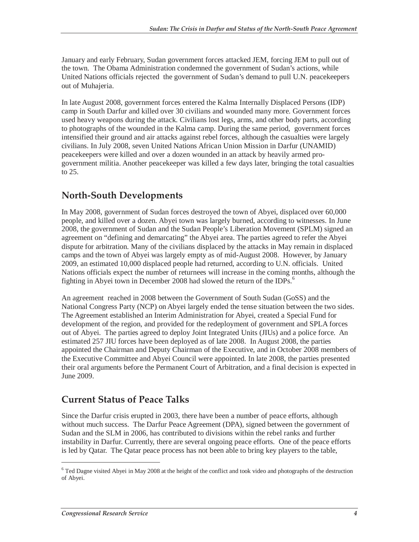January and early February, Sudan government forces attacked JEM, forcing JEM to pull out of the town. The Obama Administration condemned the government of Sudan's actions, while United Nations officials rejected the government of Sudan's demand to pull U.N. peacekeepers out of Muhajeria.

In late August 2008, government forces entered the Kalma Internally Displaced Persons (IDP) camp in South Darfur and killed over 30 civilians and wounded many more. Government forces used heavy weapons during the attack. Civilians lost legs, arms, and other body parts, according to photographs of the wounded in the Kalma camp. During the same period, government forces intensified their ground and air attacks against rebel forces, although the casualties were largely civilians. In July 2008, seven United Nations African Union Mission in Darfur (UNAMID) peacekeepers were killed and over a dozen wounded in an attack by heavily armed progovernment militia. Another peacekeeper was killed a few days later, bringing the total casualties to 25.

### **North-South Developments**

In May 2008, government of Sudan forces destroyed the town of Abyei, displaced over 60,000 people, and killed over a dozen. Abyei town was largely burned, according to witnesses. In June 2008, the government of Sudan and the Sudan People's Liberation Movement (SPLM) signed an agreement on "defining and demarcating" the Abyei area. The parties agreed to refer the Abyei dispute for arbitration. Many of the civilians displaced by the attacks in May remain in displaced camps and the town of Abyei was largely empty as of mid-August 2008. However, by January 2009, an estimated 10,000 displaced people had returned, according to U.N. officials. United Nations officials expect the number of returnees will increase in the coming months, although the fighting in Abyei town in December 2008 had slowed the return of the IDPs.<sup>6</sup>

An agreement reached in 2008 between the Government of South Sudan (GoSS) and the National Congress Party (NCP) on Abyei largely ended the tense situation between the two sides. The Agreement established an Interim Administration for Abyei, created a Special Fund for development of the region, and provided for the redeployment of government and SPLA forces out of Abyei. The parties agreed to deploy Joint Integrated Units (JIUs) and a police force. An estimated 257 JIU forces have been deployed as of late 2008. In August 2008, the parties appointed the Chairman and Deputy Chairman of the Executive, and in October 2008 members of the Executive Committee and Abyei Council were appointed. In late 2008, the parties presented their oral arguments before the Permanent Court of Arbitration, and a final decision is expected in June 2009.

### **Current Status of Peace Talks**

Since the Darfur crisis erupted in 2003, there have been a number of peace efforts, although without much success. The Darfur Peace Agreement (DPA), signed between the government of Sudan and the SLM in 2006, has contributed to divisions within the rebel ranks and further instability in Darfur. Currently, there are several ongoing peace efforts. One of the peace efforts is led by Qatar. The Qatar peace process has not been able to bring key players to the table,

<sup>&</sup>lt;sup>6</sup> Ted Dagne visited Abyei in May 2008 at the height of the conflict and took video and photographs of the destruction of Abyei.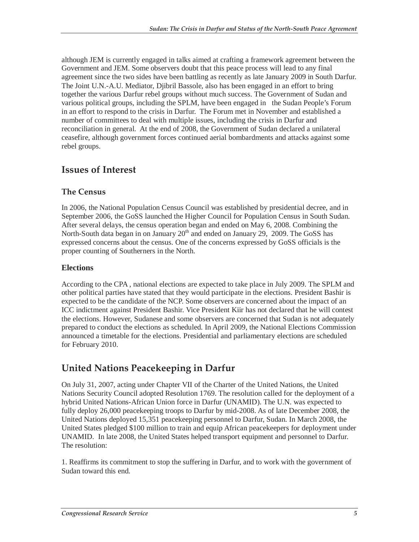although JEM is currently engaged in talks aimed at crafting a framework agreement between the Government and JEM. Some observers doubt that this peace process will lead to any final agreement since the two sides have been battling as recently as late January 2009 in South Darfur. The Joint U.N.-A.U. Mediator, Djibril Bassole, also has been engaged in an effort to bring together the various Darfur rebel groups without much success. The Government of Sudan and various political groups, including the SPLM, have been engaged in the Sudan People's Forum in an effort to respond to the crisis in Darfur. The Forum met in November and established a number of committees to deal with multiple issues, including the crisis in Darfur and reconciliation in general. At the end of 2008, the Government of Sudan declared a unilateral ceasefire, although government forces continued aerial bombardments and attacks against some rebel groups.

### **Issues of Interest**

#### **The Census**

In 2006, the National Population Census Council was established by presidential decree, and in September 2006, the GoSS launched the Higher Council for Population Census in South Sudan. After several delays, the census operation began and ended on May 6, 2008. Combining the North-South data began in on January  $20<sup>th</sup>$  and ended on January 29, 2009. The GoSS has expressed concerns about the census. One of the concerns expressed by GoSS officials is the proper counting of Southerners in the North.

#### **Elections**

According to the CPA , national elections are expected to take place in July 2009. The SPLM and other political parties have stated that they would participate in the elections. President Bashir is expected to be the candidate of the NCP. Some observers are concerned about the impact of an ICC indictment against President Bashir. Vice President Kiir has not declared that he will contest the elections. However, Sudanese and some observers are concerned that Sudan is not adequately prepared to conduct the elections as scheduled. In April 2009, the National Elections Commission announced a timetable for the elections. Presidential and parliamentary elections are scheduled for February 2010.

## **United Nations Peacekeeping in Darfur**

On July 31, 2007, acting under Chapter VII of the Charter of the United Nations, the United Nations Security Council adopted Resolution 1769. The resolution called for the deployment of a hybrid United Nations-African Union force in Darfur (UNAMID). The U.N. was expected to fully deploy 26,000 peacekeeping troops to Darfur by mid-2008. As of late December 2008, the United Nations deployed 15,351 peacekeeping personnel to Darfur, Sudan. In March 2008, the United States pledged \$100 million to train and equip African peacekeepers for deployment under UNAMID. In late 2008, the United States helped transport equipment and personnel to Darfur. The resolution:

1. Reaffirms its commitment to stop the suffering in Darfur, and to work with the government of Sudan toward this end.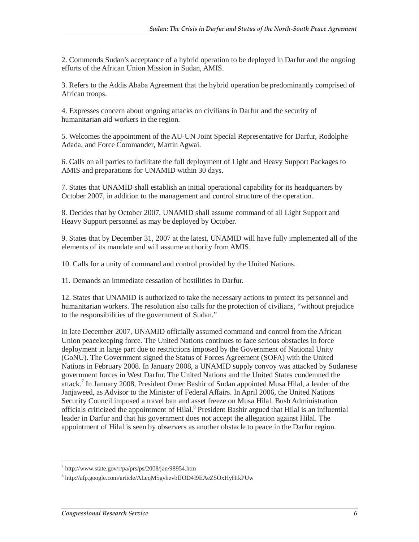2. Commends Sudan's acceptance of a hybrid operation to be deployed in Darfur and the ongoing efforts of the African Union Mission in Sudan, AMIS.

3. Refers to the Addis Ababa Agreement that the hybrid operation be predominantly comprised of African troops.

4. Expresses concern about ongoing attacks on civilians in Darfur and the security of humanitarian aid workers in the region.

5. Welcomes the appointment of the AU-UN Joint Special Representative for Darfur, Rodolphe Adada, and Force Commander, Martin Agwai.

6. Calls on all parties to facilitate the full deployment of Light and Heavy Support Packages to AMIS and preparations for UNAMID within 30 days.

7. States that UNAMID shall establish an initial operational capability for its headquarters by October 2007, in addition to the management and control structure of the operation.

8. Decides that by October 2007, UNAMID shall assume command of all Light Support and Heavy Support personnel as may be deployed by October.

9. States that by December 31, 2007 at the latest, UNAMID will have fully implemented all of the elements of its mandate and will assume authority from AMIS.

10. Calls for a unity of command and control provided by the United Nations.

11. Demands an immediate cessation of hostilities in Darfur.

12. States that UNAMID is authorized to take the necessary actions to protect its personnel and humanitarian workers. The resolution also calls for the protection of civilians, "without prejudice to the responsibilities of the government of Sudan."

In late December 2007, UNAMID officially assumed command and control from the African Union peacekeeping force. The United Nations continues to face serious obstacles in force deployment in large part due to restrictions imposed by the Government of National Unity (GoNU). The Government signed the Status of Forces Agreement (SOFA) with the United Nations in February 2008. In January 2008, a UNAMID supply convoy was attacked by Sudanese government forces in West Darfur. The United Nations and the United States condemned the attack.<sup>7</sup> In January 2008, President Omer Bashir of Sudan appointed Musa Hilal, a leader of the Janjaweed, as Advisor to the Minister of Federal Affairs. In April 2006, the United Nations Security Council imposed a travel ban and asset freeze on Musa Hilal. Bush Administration officials criticized the appointment of Hilal.<sup>8</sup> President Bashir argued that Hilal is an influential leader in Darfur and that his government does not accept the allegation against Hilal. The appointment of Hilal is seen by observers as another obstacle to peace in the Darfur region.

<sup>7</sup> http://www.state.gov/r/pa/prs/ps/2008/jan/98954.htm

<sup>8</sup> http://afp.google.com/article/ALeqM5gvhevbfJOD4I9EAeZ5OxHyHtkPUw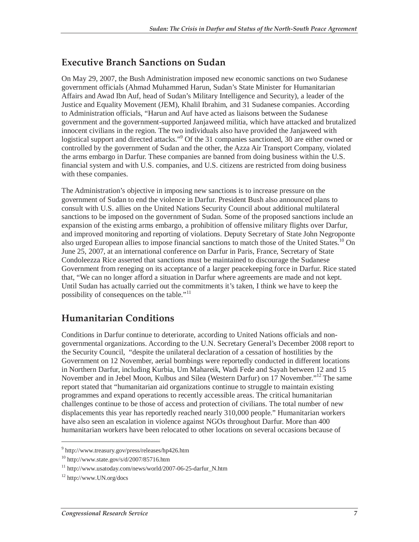### **Executive Branch Sanctions on Sudan**

On May 29, 2007, the Bush Administration imposed new economic sanctions on two Sudanese government officials (Ahmad Muhammed Harun, Sudan's State Minister for Humanitarian Affairs and Awad Ibn Auf, head of Sudan's Military Intelligence and Security), a leader of the Justice and Equality Movement (JEM), Khalil Ibrahim, and 31 Sudanese companies. According to Administration officials, "Harun and Auf have acted as liaisons between the Sudanese government and the government-supported Janjaweed militia, which have attacked and brutalized innocent civilians in the region. The two individuals also have provided the Janjaweed with logistical support and directed attacks."<sup>9</sup> Of the 31 companies sanctioned, 30 are either owned or controlled by the government of Sudan and the other, the Azza Air Transport Company, violated the arms embargo in Darfur. These companies are banned from doing business within the U.S. financial system and with U.S. companies, and U.S. citizens are restricted from doing business with these companies.

The Administration's objective in imposing new sanctions is to increase pressure on the government of Sudan to end the violence in Darfur. President Bush also announced plans to consult with U.S. allies on the United Nations Security Council about additional multilateral sanctions to be imposed on the government of Sudan. Some of the proposed sanctions include an expansion of the existing arms embargo, a prohibition of offensive military flights over Darfur, and improved monitoring and reporting of violations. Deputy Secretary of State John Negroponte also urged European allies to impose financial sanctions to match those of the United States.<sup>10</sup> On June 25, 2007, at an international conference on Darfur in Paris, France, Secretary of State Condoleezza Rice asserted that sanctions must be maintained to discourage the Sudanese Government from reneging on its acceptance of a larger peacekeeping force in Darfur. Rice stated that, "We can no longer afford a situation in Darfur where agreements are made and not kept. Until Sudan has actually carried out the commitments it's taken, I think we have to keep the possibility of consequences on the table."<sup>11</sup>

### **Humanitarian Conditions**

Conditions in Darfur continue to deteriorate, according to United Nations officials and nongovernmental organizations. According to the U.N. Secretary General's December 2008 report to the Security Council, "despite the unilateral declaration of a cessation of hostilities by the Government on 12 November, aerial bombings were reportedly conducted in different locations in Northern Darfur, including Kurbia, Um Mahareik, Wadi Fede and Sayah between 12 and 15 November and in Jebel Moon, Kulbus and Silea (Western Darfur) on 17 November.<sup>"12</sup> The same report stated that "humanitarian aid organizations continue to struggle to maintain existing programmes and expand operations to recently accessible areas. The critical humanitarian challenges continue to be those of access and protection of civilians. The total number of new displacements this year has reportedly reached nearly 310,000 people." Humanitarian workers have also seen an escalation in violence against NGOs throughout Darfur. More than 400 humanitarian workers have been relocated to other locations on several occasions because of

<u>.</u>

<sup>9</sup> http://www.treasury.gov/press/releases/hp426.htm

 $10$  http://www.state.gov/s/d/2007/85716.htm

<sup>&</sup>lt;sup>11</sup> http://www.usatoday.com/news/world/2007-06-25-darfur\_N.htm

<sup>12</sup> http://www.UN.org/docs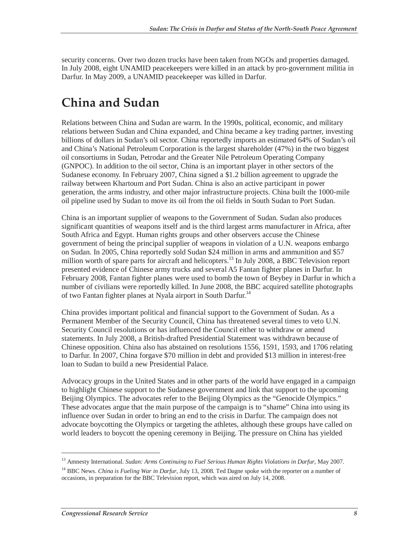security concerns. Over two dozen trucks have been taken from NGOs and properties damaged. In July 2008, eight UNAMID peacekeepers were killed in an attack by pro-government militia in Darfur. In May 2009, a UNAMID peacekeeper was killed in Darfur.

## **China and Sudan**

Relations between China and Sudan are warm. In the 1990s, political, economic, and military relations between Sudan and China expanded, and China became a key trading partner, investing billions of dollars in Sudan's oil sector. China reportedly imports an estimated 64% of Sudan's oil and China's National Petroleum Corporation is the largest shareholder (47%) in the two biggest oil consortiums in Sudan, Petrodar and the Greater Nile Petroleum Operating Company (GNPOC). In addition to the oil sector, China is an important player in other sectors of the Sudanese economy. In February 2007, China signed a \$1.2 billion agreement to upgrade the railway between Khartoum and Port Sudan. China is also an active participant in power generation, the arms industry, and other major infrastructure projects. China built the 1000-mile oil pipeline used by Sudan to move its oil from the oil fields in South Sudan to Port Sudan.

China is an important supplier of weapons to the Government of Sudan. Sudan also produces significant quantities of weapons itself and is the third largest arms manufacturer in Africa, after South Africa and Egypt. Human rights groups and other observers accuse the Chinese government of being the principal supplier of weapons in violation of a U.N. weapons embargo on Sudan. In 2005, China reportedly sold Sudan \$24 million in arms and ammunition and \$57 million worth of spare parts for aircraft and helicopters.<sup>13</sup> In July 2008, a BBC Television report presented evidence of Chinese army trucks and several A5 Fantan fighter planes in Darfur. In February 2008, Fantan fighter planes were used to bomb the town of Beybey in Darfur in which a number of civilians were reportedly killed. In June 2008, the BBC acquired satellite photographs of two Fantan fighter planes at Nyala airport in South Darfur.<sup>14</sup>

China provides important political and financial support to the Government of Sudan. As a Permanent Member of the Security Council, China has threatened several times to veto U.N. Security Council resolutions or has influenced the Council either to withdraw or amend statements. In July 2008, a British-drafted Presidential Statement was withdrawn because of Chinese opposition. China also has abstained on resolutions 1556, 1591, 1593, and 1706 relating to Darfur. In 2007, China forgave \$70 million in debt and provided \$13 million in interest-free loan to Sudan to build a new Presidential Palace.

Advocacy groups in the United States and in other parts of the world have engaged in a campaign to highlight Chinese support to the Sudanese government and link that support to the upcoming Beijing Olympics. The advocates refer to the Beijing Olympics as the "Genocide Olympics." These advocates argue that the main purpose of the campaign is to "shame" China into using its influence over Sudan in order to bring an end to the crisis in Darfur. The campaign does not advocate boycotting the Olympics or targeting the athletes, although these groups have called on world leaders to boycott the opening ceremony in Beijing. The pressure on China has yielded

<sup>&</sup>lt;sup>13</sup> Amnesty International. *Sudan: Arms Continuing to Fuel Serious Human Rights Violations in Darfur*, May 2007.

<sup>&</sup>lt;sup>14</sup> BBC News. *China is Fueling War in Darfur*, July 13, 2008. Ted Dagne spoke with the reporter on a number of occasions, in preparation for the BBC Television report, which was aired on July 14, 2008.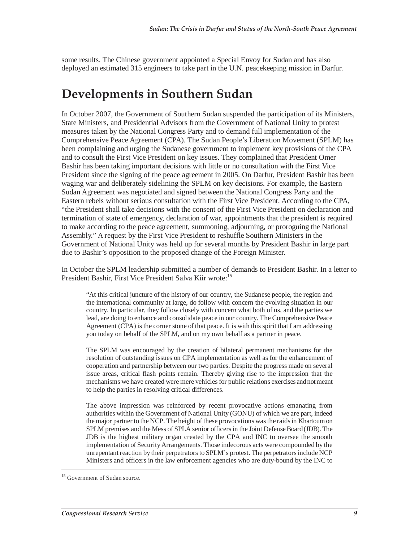some results. The Chinese government appointed a Special Envoy for Sudan and has also deployed an estimated 315 engineers to take part in the U.N. peacekeeping mission in Darfur.

## **Developments in Southern Sudan**

In October 2007, the Government of Southern Sudan suspended the participation of its Ministers, State Ministers, and Presidential Advisors from the Government of National Unity to protest measures taken by the National Congress Party and to demand full implementation of the Comprehensive Peace Agreement (CPA). The Sudan People's Liberation Movement (SPLM) has been complaining and urging the Sudanese government to implement key provisions of the CPA and to consult the First Vice President on key issues. They complained that President Omer Bashir has been taking important decisions with little or no consultation with the First Vice President since the signing of the peace agreement in 2005. On Darfur, President Bashir has been waging war and deliberately sidelining the SPLM on key decisions. For example, the Eastern Sudan Agreement was negotiated and signed between the National Congress Party and the Eastern rebels without serious consultation with the First Vice President. According to the CPA, "the President shall take decisions with the consent of the First Vice President on declaration and termination of state of emergency, declaration of war, appointments that the president is required to make according to the peace agreement, summoning, adjourning, or proroguing the National Assembly." A request by the First Vice President to reshuffle Southern Ministers in the Government of National Unity was held up for several months by President Bashir in large part due to Bashir's opposition to the proposed change of the Foreign Minister.

In October the SPLM leadership submitted a number of demands to President Bashir. In a letter to President Bashir, First Vice President Salva Kiir wrote:<sup>15</sup>

"At this critical juncture of the history of our country, the Sudanese people, the region and the international community at large, do follow with concern the evolving situation in our country. In particular, they follow closely with concern what both of us, and the parties we lead, are doing to enhance and consolidate peace in our country. The Comprehensive Peace Agreement (CPA) is the corner stone of that peace. It is with this spirit that I am addressing you today on behalf of the SPLM, and on my own behalf as a partner in peace.

The SPLM was encouraged by the creation of bilateral permanent mechanisms for the resolution of outstanding issues on CPA implementation as well as for the enhancement of cooperation and partnership between our two parties. Despite the progress made on several issue areas, critical flash points remain. Thereby giving rise to the impression that the mechanisms we have created were mere vehicles for public relations exercises and not meant to help the parties in resolving critical differences.

The above impression was reinforced by recent provocative actions emanating from authorities within the Government of National Unity (GONU) of which we are part, indeed the major partner to the NCP. The height of these provocations was the raids in Khartoum on SPLM premises and the Mess of SPLA senior officers in the Joint Defense Board (JDB). The JDB is the highest military organ created by the CPA and INC to oversee the smooth implementation of Security Arrangements. Those indecorous acts were compounded by the unrepentant reaction by their perpetrators to SPLM's protest. The perpetrators include NCP Ministers and officers in the law enforcement agencies who are duty-bound by the INC to

<sup>&</sup>lt;sup>15</sup> Government of Sudan source.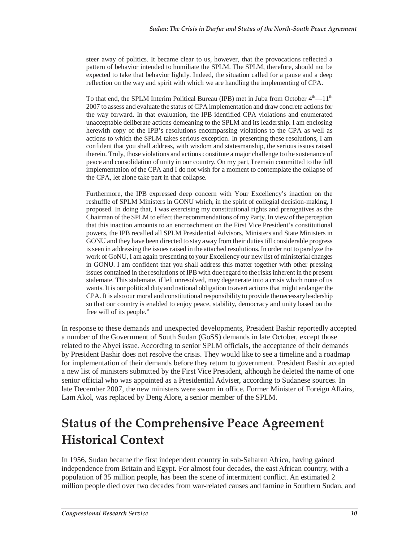steer away of politics. It became clear to us, however, that the provocations reflected a pattern of behavior intended to humiliate the SPLM. The SPLM, therefore, should not be expected to take that behavior lightly. Indeed, the situation called for a pause and a deep reflection on the way and spirit with which we are handling the implementing of CPA.

To that end, the SPLM Interim Political Bureau (IPB) met in Juba from October  $4<sup>th</sup> - 11<sup>th</sup>$ 2007 to assess and evaluate the status of CPA implementation and draw concrete actions for the way forward. In that evaluation, the IPB identified CPA violations and enumerated unacceptable deliberate actions demeaning to the SPLM and its leadership. I am enclosing herewith copy of the IPB's resolutions encompassing violations to the CPA as well as actions to which the SPLM takes serious exception. In presenting these resolutions, I am confident that you shall address, with wisdom and statesmanship, the serious issues raised therein. Truly, those violations and actions constitute a major challenge to the sustenance of peace and consolidation of unity in our country. On my part, I remain committed to the full implementation of the CPA and I do not wish for a moment to contemplate the collapse of the CPA, let alone take part in that collapse.

Furthermore, the IPB expressed deep concern with Your Excellency's inaction on the reshuffle of SPLM Ministers in GONU which, in the spirit of collegial decision-making, I proposed. In doing that, I was exercising my constitutional rights and prerogatives as the Chairman of the SPLM to effect the recommendations of my Party. In view of the perception that this inaction amounts to an encroachment on the First Vice President's constitutional powers, the IPB recalled all SPLM Presidential Advisors, Ministers and State Ministers in GONU and they have been directed to stay away from their duties till considerable progress is seen in addressing the issues raised in the attached resolutions. In order not to paralyze the work of GoNU, I am again presenting to your Excellency our new list of ministerial changes in GONU. I am confident that you shall address this matter together with other pressing issues contained in the resolutions of IPB with due regard to the risks inherent in the present stalemate. This stalemate, if left unresolved, may degenerate into a crisis which none of us wants. It is our political duty and national obligation to avert actions that might endanger the CPA. It is also our moral and constitutional responsibility to provide the necessary leadership so that our country is enabled to enjoy peace, stability, democracy and unity based on the free will of its people."

In response to these demands and unexpected developments, President Bashir reportedly accepted a number of the Government of South Sudan (GoSS) demands in late October, except those related to the Abyei issue. According to senior SPLM officials, the acceptance of their demands by President Bashir does not resolve the crisis. They would like to see a timeline and a roadmap for implementation of their demands before they return to government. President Bashir accepted a new list of ministers submitted by the First Vice President, although he deleted the name of one senior official who was appointed as a Presidential Adviser, according to Sudanese sources. In late December 2007, the new ministers were sworn in office. Former Minister of Foreign Affairs, Lam Akol, was replaced by Deng Alore, a senior member of the SPLM.

## **Status of the Comprehensive Peace Agreement Historical Context**

In 1956, Sudan became the first independent country in sub-Saharan Africa, having gained independence from Britain and Egypt. For almost four decades, the east African country, with a population of 35 million people, has been the scene of intermittent conflict. An estimated 2 million people died over two decades from war-related causes and famine in Southern Sudan, and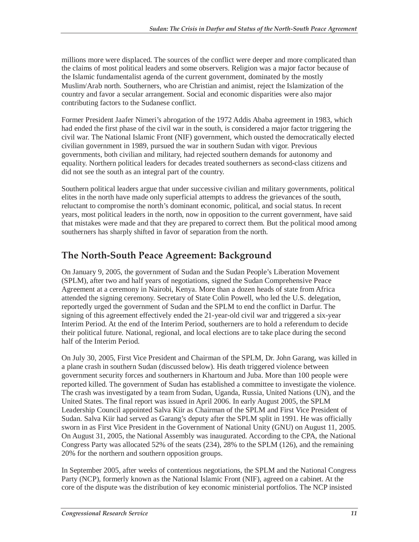millions more were displaced. The sources of the conflict were deeper and more complicated than the claims of most political leaders and some observers. Religion was a major factor because of the Islamic fundamentalist agenda of the current government, dominated by the mostly Muslim/Arab north. Southerners, who are Christian and animist, reject the Islamization of the country and favor a secular arrangement. Social and economic disparities were also major contributing factors to the Sudanese conflict.

Former President Jaafer Nimeri's abrogation of the 1972 Addis Ababa agreement in 1983, which had ended the first phase of the civil war in the south, is considered a major factor triggering the civil war. The National Islamic Front (NIF) government, which ousted the democratically elected civilian government in 1989, pursued the war in southern Sudan with vigor. Previous governments, both civilian and military, had rejected southern demands for autonomy and equality. Northern political leaders for decades treated southerners as second-class citizens and did not see the south as an integral part of the country.

Southern political leaders argue that under successive civilian and military governments, political elites in the north have made only superficial attempts to address the grievances of the south, reluctant to compromise the north's dominant economic, political, and social status. In recent years, most political leaders in the north, now in opposition to the current government, have said that mistakes were made and that they are prepared to correct them. But the political mood among southerners has sharply shifted in favor of separation from the north.

## **The North-South Peace Agreement: Background**

On January 9, 2005, the government of Sudan and the Sudan People's Liberation Movement (SPLM), after two and half years of negotiations, signed the Sudan Comprehensive Peace Agreement at a ceremony in Nairobi, Kenya. More than a dozen heads of state from Africa attended the signing ceremony. Secretary of State Colin Powell, who led the U.S. delegation, reportedly urged the government of Sudan and the SPLM to end the conflict in Darfur. The signing of this agreement effectively ended the 21-year-old civil war and triggered a six-year Interim Period. At the end of the Interim Period, southerners are to hold a referendum to decide their political future. National, regional, and local elections are to take place during the second half of the Interim Period.

On July 30, 2005, First Vice President and Chairman of the SPLM, Dr. John Garang, was killed in a plane crash in southern Sudan (discussed below). His death triggered violence between government security forces and southerners in Khartoum and Juba. More than 100 people were reported killed. The government of Sudan has established a committee to investigate the violence. The crash was investigated by a team from Sudan, Uganda, Russia, United Nations (UN), and the United States. The final report was issued in April 2006. In early August 2005, the SPLM Leadership Council appointed Salva Kiir as Chairman of the SPLM and First Vice President of Sudan. Salva Kiir had served as Garang's deputy after the SPLM split in 1991. He was officially sworn in as First Vice President in the Government of National Unity (GNU) on August 11, 2005. On August 31, 2005, the National Assembly was inaugurated. According to the CPA, the National Congress Party was allocated 52% of the seats (234), 28% to the SPLM (126), and the remaining 20% for the northern and southern opposition groups.

In September 2005, after weeks of contentious negotiations, the SPLM and the National Congress Party (NCP), formerly known as the National Islamic Front (NIF), agreed on a cabinet. At the core of the dispute was the distribution of key economic ministerial portfolios. The NCP insisted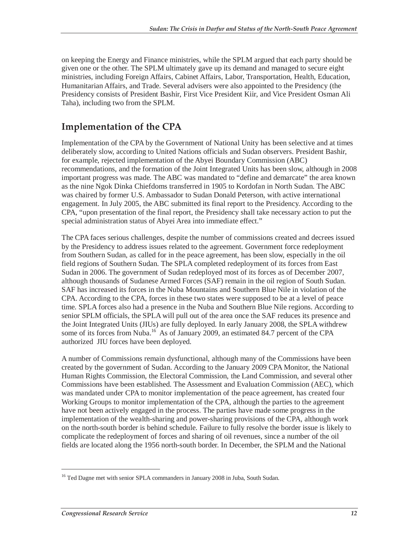on keeping the Energy and Finance ministries, while the SPLM argued that each party should be given one or the other. The SPLM ultimately gave up its demand and managed to secure eight ministries, including Foreign Affairs, Cabinet Affairs, Labor, Transportation, Health, Education, Humanitarian Affairs, and Trade. Several advisers were also appointed to the Presidency (the Presidency consists of President Bashir, First Vice President Kiir, and Vice President Osman Ali Taha), including two from the SPLM.

## **Implementation of the CPA**

Implementation of the CPA by the Government of National Unity has been selective and at times deliberately slow, according to United Nations officials and Sudan observers. President Bashir, for example, rejected implementation of the Abyei Boundary Commission (ABC) recommendations, and the formation of the Joint Integrated Units has been slow, although in 2008 important progress was made. The ABC was mandated to "define and demarcate" the area known as the nine Ngok Dinka Chiefdoms transferred in 1905 to Kordofan in North Sudan. The ABC was chaired by former U.S. Ambassador to Sudan Donald Peterson, with active international engagement. In July 2005, the ABC submitted its final report to the Presidency. According to the CPA, "upon presentation of the final report, the Presidency shall take necessary action to put the special administration status of Abyei Area into immediate effect."

The CPA faces serious challenges, despite the number of commissions created and decrees issued by the Presidency to address issues related to the agreement. Government force redeployment from Southern Sudan, as called for in the peace agreement, has been slow, especially in the oil field regions of Southern Sudan. The SPLA completed redeployment of its forces from East Sudan in 2006. The government of Sudan redeployed most of its forces as of December 2007, although thousands of Sudanese Armed Forces (SAF) remain in the oil region of South Sudan. SAF has increased its forces in the Nuba Mountains and Southern Blue Nile in violation of the CPA. According to the CPA, forces in these two states were supposed to be at a level of peace time. SPLA forces also had a presence in the Nuba and Southern Blue Nile regions. According to senior SPLM officials, the SPLA will pull out of the area once the SAF reduces its presence and the Joint Integrated Units (JIUs) are fully deployed. In early January 2008, the SPLA withdrew some of its forces from Nuba.<sup>16</sup> As of January 2009, an estimated 84.7 percent of the CPA authorized JIU forces have been deployed.

A number of Commissions remain dysfunctional, although many of the Commissions have been created by the government of Sudan. According to the January 2009 CPA Monitor, the National Human Rights Commission, the Electoral Commission, the Land Commission, and several other Commissions have been established. The Assessment and Evaluation Commission (AEC), which was mandated under CPA to monitor implementation of the peace agreement, has created four Working Groups to monitor implementation of the CPA, although the parties to the agreement have not been actively engaged in the process. The parties have made some progress in the implementation of the wealth-sharing and power-sharing provisions of the CPA, although work on the north-south border is behind schedule. Failure to fully resolve the border issue is likely to complicate the redeployment of forces and sharing of oil revenues, since a number of the oil fields are located along the 1956 north-south border. In December, the SPLM and the National

<sup>&</sup>lt;sup>16</sup> Ted Dagne met with senior SPLA commanders in January 2008 in Juba, South Sudan.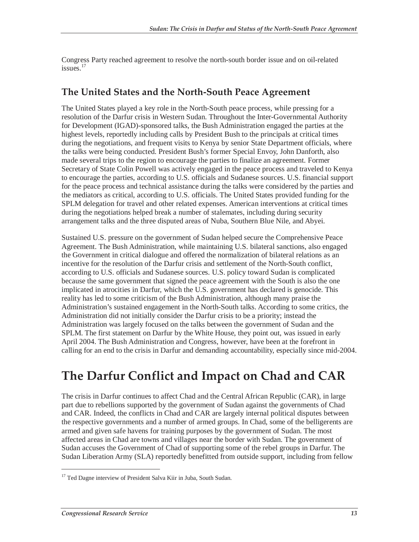Congress Party reached agreement to resolve the north-south border issue and on oil-related issues.<sup>17</sup>

### **The United States and the North-South Peace Agreement**

The United States played a key role in the North-South peace process, while pressing for a resolution of the Darfur crisis in Western Sudan. Throughout the Inter-Governmental Authority for Development (IGAD)-sponsored talks, the Bush Administration engaged the parties at the highest levels, reportedly including calls by President Bush to the principals at critical times during the negotiations, and frequent visits to Kenya by senior State Department officials, where the talks were being conducted. President Bush's former Special Envoy, John Danforth, also made several trips to the region to encourage the parties to finalize an agreement. Former Secretary of State Colin Powell was actively engaged in the peace process and traveled to Kenya to encourage the parties, according to U.S. officials and Sudanese sources. U.S. financial support for the peace process and technical assistance during the talks were considered by the parties and the mediators as critical, according to U.S. officials. The United States provided funding for the SPLM delegation for travel and other related expenses. American interventions at critical times during the negotiations helped break a number of stalemates, including during security arrangement talks and the three disputed areas of Nuba, Southern Blue Nile, and Abyei.

Sustained U.S. pressure on the government of Sudan helped secure the Comprehensive Peace Agreement. The Bush Administration, while maintaining U.S. bilateral sanctions, also engaged the Government in critical dialogue and offered the normalization of bilateral relations as an incentive for the resolution of the Darfur crisis and settlement of the North-South conflict, according to U.S. officials and Sudanese sources. U.S. policy toward Sudan is complicated because the same government that signed the peace agreement with the South is also the one implicated in atrocities in Darfur, which the U.S. government has declared is genocide. This reality has led to some criticism of the Bush Administration, although many praise the Administration's sustained engagement in the North-South talks. According to some critics, the Administration did not initially consider the Darfur crisis to be a priority; instead the Administration was largely focused on the talks between the government of Sudan and the SPLM. The first statement on Darfur by the White House, they point out, was issued in early April 2004. The Bush Administration and Congress, however, have been at the forefront in calling for an end to the crisis in Darfur and demanding accountability, especially since mid-2004.

## **The Darfur Conflict and Impact on Chad and CAR**

The crisis in Darfur continues to affect Chad and the Central African Republic (CAR), in large part due to rebellions supported by the government of Sudan against the governments of Chad and CAR. Indeed, the conflicts in Chad and CAR are largely internal political disputes between the respective governments and a number of armed groups. In Chad, some of the belligerents are armed and given safe havens for training purposes by the government of Sudan. The most affected areas in Chad are towns and villages near the border with Sudan. The government of Sudan accuses the Government of Chad of supporting some of the rebel groups in Darfur. The Sudan Liberation Army (SLA) reportedly benefitted from outside support, including from fellow

<sup>&</sup>lt;sup>17</sup> Ted Dagne interview of President Salva Kiir in Juba, South Sudan.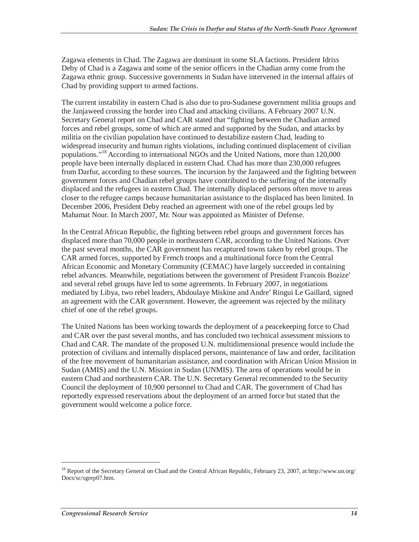Zagawa elements in Chad. The Zagawa are dominant in some SLA factions. President Idriss Deby of Chad is a Zagawa and some of the senior officers in the Chadian army come from the Zagawa ethnic group. Successive governments in Sudan have intervened in the internal affairs of Chad by providing support to armed factions.

The current instability in eastern Chad is also due to pro-Sudanese government militia groups and the Janjaweed crossing the border into Chad and attacking civilians. A February 2007 U.N. Secretary General report on Chad and CAR stated that "fighting between the Chadian armed forces and rebel groups, some of which are armed and supported by the Sudan, and attacks by militia on the civilian population have continued to destabilize eastern Chad, leading to widespread insecurity and human rights violations, including continued displacement of civilian populations."18 According to international NGOs and the United Nations, more than 120,000 people have been internally displaced in eastern Chad. Chad has more than 230,000 refugees from Darfur, according to these sources. The incursion by the Janjaweed and the fighting between government forces and Chadian rebel groups have contributed to the suffering of the internally displaced and the refugees in eastern Chad. The internally displaced persons often move to areas closer to the refugee camps because humanitarian assistance to the displaced has been limited. In December 2006, President Deby reached an agreement with one of the rebel groups led by Mahamat Nour. In March 2007, Mr. Nour was appointed as Minister of Defense.

In the Central African Republic, the fighting between rebel groups and government forces has displaced more than 70,000 people in northeastern CAR, according to the United Nations. Over the past several months, the CAR government has recaptured towns taken by rebel groups. The CAR armed forces, supported by French troops and a multinational force from the Central African Economic and Monetary Community (CEMAC) have largely succeeded in containing rebel advances. Meanwhile, negotiations between the government of President Francois Bozize' and several rebel groups have led to some agreements. In February 2007, in negotiations mediated by Libya, two rebel leaders, Abdoulaye Miskine and Andre' Ringui Le Gaillard, signed an agreement with the CAR government. However, the agreement was rejected by the military chief of one of the rebel groups.

The United Nations has been working towards the deployment of a peacekeeping force to Chad and CAR over the past several months, and has concluded two technical assessment missions to Chad and CAR. The mandate of the proposed U.N. multidimensional presence would include the protection of civilians and internally displaced persons, maintenance of law and order, facilitation of the free movement of humanitarian assistance, and coordination with African Union Mission in Sudan (AMIS) and the U.N. Mission in Sudan (UNMIS). The area of operations would be in eastern Chad and northeastern CAR. The U.N. Secretary General recommended to the Security Council the deployment of 10,900 personnel to Chad and CAR. The government of Chad has reportedly expressed reservations about the deployment of an armed force but stated that the government would welcome a police force.

<sup>&</sup>lt;sup>18</sup> Report of the Secretary General on Chad and the Central African Republic, February 23, 2007, at http://www.un.org/ Docs/sc/sgrep07.htm.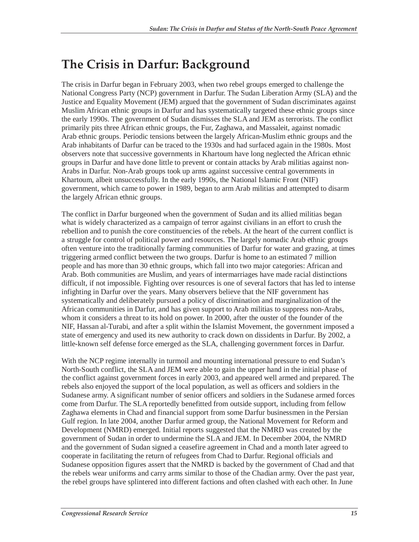## **The Crisis in Darfur: Background**

The crisis in Darfur began in February 2003, when two rebel groups emerged to challenge the National Congress Party (NCP) government in Darfur. The Sudan Liberation Army (SLA) and the Justice and Equality Movement (JEM) argued that the government of Sudan discriminates against Muslim African ethnic groups in Darfur and has systematically targeted these ethnic groups since the early 1990s. The government of Sudan dismisses the SLA and JEM as terrorists. The conflict primarily pits three African ethnic groups, the Fur, Zaghawa, and Massaleit, against nomadic Arab ethnic groups. Periodic tensions between the largely African-Muslim ethnic groups and the Arab inhabitants of Darfur can be traced to the 1930s and had surfaced again in the 1980s. Most observers note that successive governments in Khartoum have long neglected the African ethnic groups in Darfur and have done little to prevent or contain attacks by Arab militias against non-Arabs in Darfur. Non-Arab groups took up arms against successive central governments in Khartoum, albeit unsuccessfully. In the early 1990s, the National Islamic Front (NIF) government, which came to power in 1989, began to arm Arab militias and attempted to disarm the largely African ethnic groups.

The conflict in Darfur burgeoned when the government of Sudan and its allied militias began what is widely characterized as a campaign of terror against civilians in an effort to crush the rebellion and to punish the core constituencies of the rebels. At the heart of the current conflict is a struggle for control of political power and resources. The largely nomadic Arab ethnic groups often venture into the traditionally farming communities of Darfur for water and grazing, at times triggering armed conflict between the two groups. Darfur is home to an estimated 7 million people and has more than 30 ethnic groups, which fall into two major categories: African and Arab. Both communities are Muslim, and years of intermarriages have made racial distinctions difficult, if not impossible. Fighting over resources is one of several factors that has led to intense infighting in Darfur over the years. Many observers believe that the NIF government has systematically and deliberately pursued a policy of discrimination and marginalization of the African communities in Darfur, and has given support to Arab militias to suppress non-Arabs, whom it considers a threat to its hold on power. In 2000, after the ouster of the founder of the NIF, Hassan al-Turabi, and after a split within the Islamist Movement, the government imposed a state of emergency and used its new authority to crack down on dissidents in Darfur. By 2002, a little-known self defense force emerged as the SLA, challenging government forces in Darfur.

With the NCP regime internally in turmoil and mounting international pressure to end Sudan's North-South conflict, the SLA and JEM were able to gain the upper hand in the initial phase of the conflict against government forces in early 2003, and appeared well armed and prepared. The rebels also enjoyed the support of the local population, as well as officers and soldiers in the Sudanese army. A significant number of senior officers and soldiers in the Sudanese armed forces come from Darfur. The SLA reportedly benefitted from outside support, including from fellow Zaghawa elements in Chad and financial support from some Darfur businessmen in the Persian Gulf region. In late 2004, another Darfur armed group, the National Movement for Reform and Development (NMRD) emerged. Initial reports suggested that the NMRD was created by the government of Sudan in order to undermine the SLA and JEM. In December 2004, the NMRD and the government of Sudan signed a ceasefire agreement in Chad and a month later agreed to cooperate in facilitating the return of refugees from Chad to Darfur. Regional officials and Sudanese opposition figures assert that the NMRD is backed by the government of Chad and that the rebels wear uniforms and carry arms similar to those of the Chadian army. Over the past year, the rebel groups have splintered into different factions and often clashed with each other. In June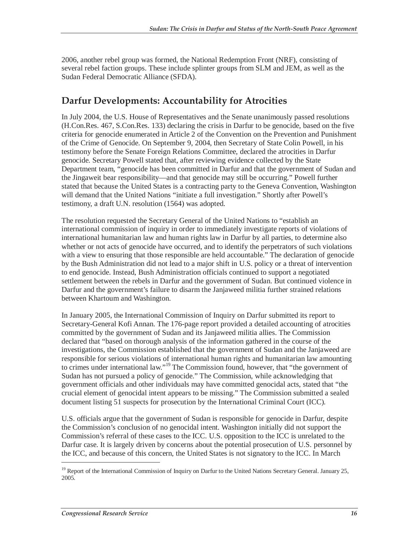2006, another rebel group was formed, the National Redemption Front (NRF), consisting of several rebel faction groups. These include splinter groups from SLM and JEM, as well as the Sudan Federal Democratic Alliance (SFDA).

### **Darfur Developments: Accountability for Atrocities**

In July 2004, the U.S. House of Representatives and the Senate unanimously passed resolutions (H.Con.Res. 467, S.Con.Res. 133) declaring the crisis in Darfur to be genocide, based on the five criteria for genocide enumerated in Article 2 of the Convention on the Prevention and Punishment of the Crime of Genocide. On September 9, 2004, then Secretary of State Colin Powell, in his testimony before the Senate Foreign Relations Committee, declared the atrocities in Darfur genocide. Secretary Powell stated that, after reviewing evidence collected by the State Department team, "genocide has been committed in Darfur and that the government of Sudan and the Jingaweit bear responsibility—and that genocide may still be occurring." Powell further stated that because the United States is a contracting party to the Geneva Convention, Washington will demand that the United Nations "initiate a full investigation." Shortly after Powell's testimony, a draft U.N. resolution (1564) was adopted.

The resolution requested the Secretary General of the United Nations to "establish an international commission of inquiry in order to immediately investigate reports of violations of international humanitarian law and human rights law in Darfur by all parties, to determine also whether or not acts of genocide have occurred, and to identify the perpetrators of such violations with a view to ensuring that those responsible are held accountable." The declaration of genocide by the Bush Administration did not lead to a major shift in U.S. policy or a threat of intervention to end genocide. Instead, Bush Administration officials continued to support a negotiated settlement between the rebels in Darfur and the government of Sudan. But continued violence in Darfur and the government's failure to disarm the Janjaweed militia further strained relations between Khartoum and Washington.

In January 2005, the International Commission of Inquiry on Darfur submitted its report to Secretary-General Kofi Annan. The 176-page report provided a detailed accounting of atrocities committed by the government of Sudan and its Janjaweed militia allies. The Commission declared that "based on thorough analysis of the information gathered in the course of the investigations, the Commission established that the government of Sudan and the Janjaweed are responsible for serious violations of international human rights and humanitarian law amounting to crimes under international law."<sup>19</sup> The Commission found, however, that "the government of Sudan has not pursued a policy of genocide." The Commission, while acknowledging that government officials and other individuals may have committed genocidal acts, stated that "the crucial element of genocidal intent appears to be missing." The Commission submitted a sealed document listing 51 suspects for prosecution by the International Criminal Court (ICC).

U.S. officials argue that the government of Sudan is responsible for genocide in Darfur, despite the Commission's conclusion of no genocidal intent. Washington initially did not support the Commission's referral of these cases to the ICC. U.S. opposition to the ICC is unrelated to the Darfur case. It is largely driven by concerns about the potential prosecution of U.S. personnel by the ICC, and because of this concern, the United States is not signatory to the ICC. In March

<sup>&</sup>lt;sup>19</sup> Report of the International Commission of Inquiry on Darfur to the United Nations Secretary General. January 25, 2005.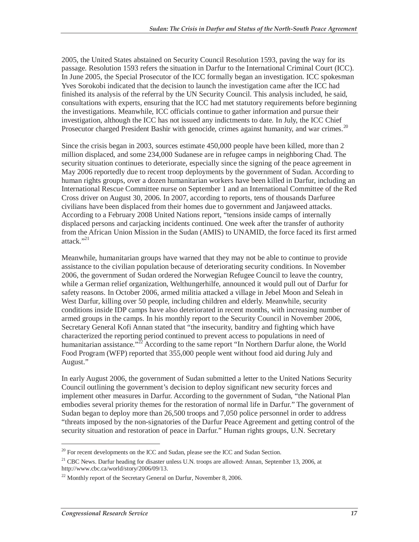2005, the United States abstained on Security Council Resolution 1593, paving the way for its passage. Resolution 1593 refers the situation in Darfur to the International Criminal Court (ICC). In June 2005, the Special Prosecutor of the ICC formally began an investigation. ICC spokesman Yves Sorokobi indicated that the decision to launch the investigation came after the ICC had finished its analysis of the referral by the UN Security Council. This analysis included, he said, consultations with experts, ensuring that the ICC had met statutory requirements before beginning the investigations. Meanwhile, ICC officials continue to gather information and pursue their investigation, although the ICC has not issued any indictments to date. In July, the ICC Chief Prosecutor charged President Bashir with genocide, crimes against humanity, and war crimes.<sup>20</sup>

Since the crisis began in 2003, sources estimate 450,000 people have been killed, more than 2 million displaced, and some 234,000 Sudanese are in refugee camps in neighboring Chad. The security situation continues to deteriorate, especially since the signing of the peace agreement in May 2006 reportedly due to recent troop deployments by the government of Sudan. According to human rights groups, over a dozen humanitarian workers have been killed in Darfur, including an International Rescue Committee nurse on September 1 and an International Committee of the Red Cross driver on August 30, 2006. In 2007, according to reports, tens of thousands Darfuree civilians have been displaced from their homes due to government and Janjaweed attacks. According to a February 2008 United Nations report, "tensions inside camps of internally displaced persons and carjacking incidents continued. One week after the transfer of authority from the African Union Mission in the Sudan (AMIS) to UNAMID, the force faced its first armed attack."21

Meanwhile, humanitarian groups have warned that they may not be able to continue to provide assistance to the civilian population because of deteriorating security conditions. In November 2006, the government of Sudan ordered the Norwegian Refugee Council to leave the country, while a German relief organization, Welthungerhilfe, announced it would pull out of Darfur for safety reasons. In October 2006, armed militia attacked a village in Jebel Moon and Seleah in West Darfur, killing over 50 people, including children and elderly. Meanwhile, security conditions inside IDP camps have also deteriorated in recent months, with increasing number of armed groups in the camps. In his monthly report to the Security Council in November 2006, Secretary General Kofi Annan stated that "the insecurity, banditry and fighting which have characterized the reporting period continued to prevent access to populations in need of humanitarian assistance."<sup> $22$ </sup> According to the same report "In Northern Darfur alone, the World Food Program (WFP) reported that 355,000 people went without food aid during July and August."

In early August 2006, the government of Sudan submitted a letter to the United Nations Security Council outlining the government's decision to deploy significant new security forces and implement other measures in Darfur. According to the government of Sudan, "the National Plan embodies several priority themes for the restoration of normal life in Darfur." The government of Sudan began to deploy more than 26,500 troops and 7,050 police personnel in order to address "threats imposed by the non-signatories of the Darfur Peace Agreement and getting control of the security situation and restoration of peace in Darfur." Human rights groups, U.N. Secretary

 $20$  For recent developments on the ICC and Sudan, please see the ICC and Sudan Section.

<sup>&</sup>lt;sup>21</sup> CBC News. Darfur heading for disaster unless U.N. troops are allowed: Annan, September 13, 2006, at http://www.cbc.ca/world/story/2006/09/13.

 $^{22}$  Monthly report of the Secretary General on Darfur, November 8, 2006.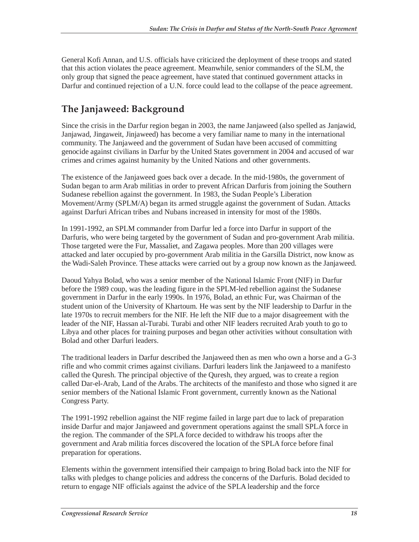General Kofi Annan, and U.S. officials have criticized the deployment of these troops and stated that this action violates the peace agreement. Meanwhile, senior commanders of the SLM, the only group that signed the peace agreement, have stated that continued government attacks in Darfur and continued rejection of a U.N. force could lead to the collapse of the peace agreement.

## **The Janjaweed: Background**

Since the crisis in the Darfur region began in 2003, the name Janjaweed (also spelled as Janjawid, Janjawad, Jingaweit, Jinjaweed) has become a very familiar name to many in the international community. The Janjaweed and the government of Sudan have been accused of committing genocide against civilians in Darfur by the United States government in 2004 and accused of war crimes and crimes against humanity by the United Nations and other governments.

The existence of the Janjaweed goes back over a decade. In the mid-1980s, the government of Sudan began to arm Arab militias in order to prevent African Darfuris from joining the Southern Sudanese rebellion against the government. In 1983, the Sudan People's Liberation Movement/Army (SPLM/A) began its armed struggle against the government of Sudan. Attacks against Darfuri African tribes and Nubans increased in intensity for most of the 1980s.

In 1991-1992, an SPLM commander from Darfur led a force into Darfur in support of the Darfuris, who were being targeted by the government of Sudan and pro-government Arab militia. Those targeted were the Fur, Massaliet, and Zagawa peoples. More than 200 villages were attacked and later occupied by pro-government Arab militia in the Garsilla District, now know as the Wadi-Saleh Province. These attacks were carried out by a group now known as the Janjaweed.

Daoud Yahya Bolad, who was a senior member of the National Islamic Front (NIF) in Darfur before the 1989 coup, was the leading figure in the SPLM-led rebellion against the Sudanese government in Darfur in the early 1990s. In 1976, Bolad, an ethnic Fur, was Chairman of the student union of the University of Khartoum. He was sent by the NIF leadership to Darfur in the late 1970s to recruit members for the NIF. He left the NIF due to a major disagreement with the leader of the NIF, Hassan al-Turabi. Turabi and other NIF leaders recruited Arab youth to go to Libya and other places for training purposes and began other activities without consultation with Bolad and other Darfuri leaders.

The traditional leaders in Darfur described the Janjaweed then as men who own a horse and a G-3 rifle and who commit crimes against civilians. Darfuri leaders link the Janjaweed to a manifesto called the Quresh. The principal objective of the Quresh, they argued, was to create a region called Dar-el-Arab, Land of the Arabs. The architects of the manifesto and those who signed it are senior members of the National Islamic Front government, currently known as the National Congress Party.

The 1991-1992 rebellion against the NIF regime failed in large part due to lack of preparation inside Darfur and major Janjaweed and government operations against the small SPLA force in the region. The commander of the SPLA force decided to withdraw his troops after the government and Arab militia forces discovered the location of the SPLA force before final preparation for operations.

Elements within the government intensified their campaign to bring Bolad back into the NIF for talks with pledges to change policies and address the concerns of the Darfuris. Bolad decided to return to engage NIF officials against the advice of the SPLA leadership and the force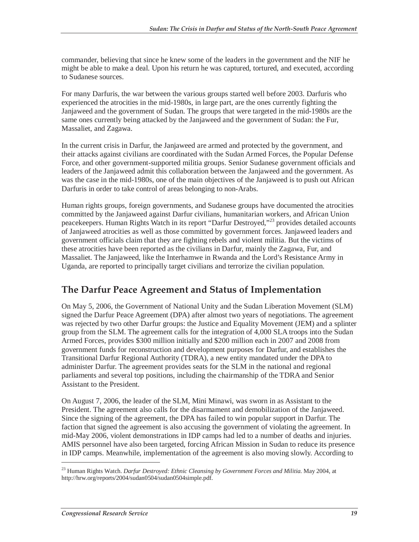commander, believing that since he knew some of the leaders in the government and the NIF he might be able to make a deal. Upon his return he was captured, tortured, and executed, according to Sudanese sources.

For many Darfuris, the war between the various groups started well before 2003. Darfuris who experienced the atrocities in the mid-1980s, in large part, are the ones currently fighting the Janjaweed and the government of Sudan. The groups that were targeted in the mid-1980s are the same ones currently being attacked by the Janjaweed and the government of Sudan: the Fur, Massaliet, and Zagawa.

In the current crisis in Darfur, the Janjaweed are armed and protected by the government, and their attacks against civilians are coordinated with the Sudan Armed Forces, the Popular Defense Force, and other government-supported militia groups. Senior Sudanese government officials and leaders of the Janjaweed admit this collaboration between the Janjaweed and the government. As was the case in the mid-1980s, one of the main objectives of the Janjaweed is to push out African Darfuris in order to take control of areas belonging to non-Arabs.

Human rights groups, foreign governments, and Sudanese groups have documented the atrocities committed by the Janjaweed against Darfur civilians, humanitarian workers, and African Union peacekeepers. Human Rights Watch in its report "Darfur Destroyed,"23 provides detailed accounts of Janjaweed atrocities as well as those committed by government forces. Janjaweed leaders and government officials claim that they are fighting rebels and violent militia. But the victims of these atrocities have been reported as the civilians in Darfur, mainly the Zagawa, Fur, and Massaliet. The Janjaweed, like the Interhamwe in Rwanda and the Lord's Resistance Army in Uganda, are reported to principally target civilians and terrorize the civilian population.

### **The Darfur Peace Agreement and Status of Implementation**

On May 5, 2006, the Government of National Unity and the Sudan Liberation Movement (SLM) signed the Darfur Peace Agreement (DPA) after almost two years of negotiations. The agreement was rejected by two other Darfur groups: the Justice and Equality Movement (JEM) and a splinter group from the SLM. The agreement calls for the integration of 4,000 SLA troops into the Sudan Armed Forces, provides \$300 million initially and \$200 million each in 2007 and 2008 from government funds for reconstruction and development purposes for Darfur, and establishes the Transitional Darfur Regional Authority (TDRA), a new entity mandated under the DPA to administer Darfur. The agreement provides seats for the SLM in the national and regional parliaments and several top positions, including the chairmanship of the TDRA and Senior Assistant to the President.

On August 7, 2006, the leader of the SLM, Mini Minawi, was sworn in as Assistant to the President. The agreement also calls for the disarmament and demobilization of the Janjaweed. Since the signing of the agreement, the DPA has failed to win popular support in Darfur. The faction that signed the agreement is also accusing the government of violating the agreement. In mid-May 2006, violent demonstrations in IDP camps had led to a number of deaths and injuries. AMIS personnel have also been targeted, forcing African Mission in Sudan to reduce its presence in IDP camps. Meanwhile, implementation of the agreement is also moving slowly. According to

<sup>23</sup> Human Rights Watch. *Darfur Destroyed: Ethnic Cleansing by Government Forces and Militia.* May 2004, at http://hrw.org/reports/2004/sudan0504/sudan0504simple.pdf.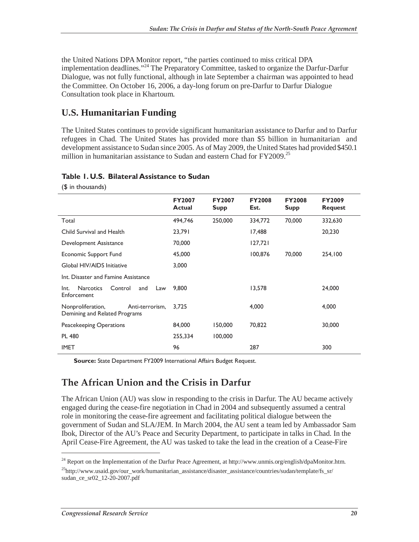the United Nations DPA Monitor report, "the parties continued to miss critical DPA implementation deadlines."24 The Preparatory Committee, tasked to organize the Darfur-Darfur Dialogue, was not fully functional, although in late September a chairman was appointed to head the Committee. On October 16, 2006, a day-long forum on pre-Darfur to Darfur Dialogue Consultation took place in Khartoum.

### **U.S. Humanitarian Funding**

(\$ in thousands)

The United States continues to provide significant humanitarian assistance to Darfur and to Darfur refugees in Chad. The United States has provided more than \$5 billion in humanitarian and development assistance to Sudan since 2005. As of May 2009, the United States had provided \$450.1 million in humanitarian assistance to Sudan and eastern Chad for  $FY2009$ <sup>25</sup>

|                                                                       | <b>FY2007</b><br><b>Actual</b> | <b>FY2007</b><br><b>Supp</b> | <b>FY2008</b><br>Est. | <b>FY2008</b><br><b>Supp</b> | <b>FY2009</b><br><b>Request</b> |
|-----------------------------------------------------------------------|--------------------------------|------------------------------|-----------------------|------------------------------|---------------------------------|
| Total                                                                 | 494,746                        | 250,000                      | 334,772               | 70,000                       | 332,630                         |
| Child Survival and Health                                             | 23,791                         |                              | 17,488                |                              | 20,230                          |
| Development Assistance                                                | 70,000                         |                              | 127,721               |                              |                                 |
| Economic Support Fund                                                 | 45,000                         |                              | 100,876               | 70,000                       | 254,100                         |
| Global HIV/AIDS Initiative                                            | 3.000                          |                              |                       |                              |                                 |
| Int. Disaster and Famine Assistance                                   |                                |                              |                       |                              |                                 |
| Control<br>Int.<br><b>Narcotics</b><br>and<br>Law<br>Enforcement      | 9,800                          |                              | 13,578                |                              | 24,000                          |
| Nonproliferation,<br>Anti-terrorism,<br>Demining and Related Programs | 3,725                          |                              | 4,000                 |                              | 4,000                           |
| Peacekeeping Operations                                               | 84,000                         | 150,000                      | 70,822                |                              | 30,000                          |
| <b>PL 480</b>                                                         | 255,334                        | 100,000                      |                       |                              |                                 |
| <b>IMET</b>                                                           | 96                             |                              | 287                   |                              | 300                             |

#### **Table 1. U.S. Bilateral Assistance to Sudan**

**Source:** State Department FY2009 International Affairs Budget Request.

### **The African Union and the Crisis in Darfur**

The African Union (AU) was slow in responding to the crisis in Darfur. The AU became actively engaged during the cease-fire negotiation in Chad in 2004 and subsequently assumed a central role in monitoring the cease-fire agreement and facilitating political dialogue between the government of Sudan and SLA/JEM. In March 2004, the AU sent a team led by Ambassador Sam Ibok, Director of the AU's Peace and Security Department, to participate in talks in Chad. In the April Cease-Fire Agreement, the AU was tasked to take the lead in the creation of a Cease-Fire

<sup>&</sup>lt;sup>24</sup> Report on the Implementation of the Darfur Peace Agreement, at http://www.unmis.org/english/dpaMonitor.htm.

<sup>25</sup>http://www.usaid.gov/our\_work/humanitarian\_assistance/disaster\_assistance/countries/sudan/template/fs\_sr/ sudan\_ce\_sr02\_12-20-2007.pdf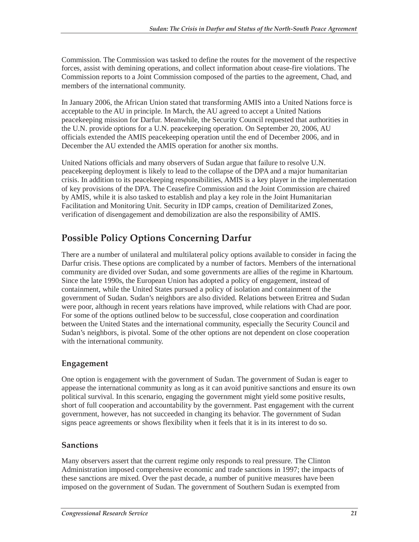Commission. The Commission was tasked to define the routes for the movement of the respective forces, assist with demining operations, and collect information about cease-fire violations. The Commission reports to a Joint Commission composed of the parties to the agreement, Chad, and members of the international community.

In January 2006, the African Union stated that transforming AMIS into a United Nations force is acceptable to the AU in principle. In March, the AU agreed to accept a United Nations peacekeeping mission for Darfur. Meanwhile, the Security Council requested that authorities in the U.N. provide options for a U.N. peacekeeping operation. On September 20, 2006, AU officials extended the AMIS peacekeeping operation until the end of December 2006, and in December the AU extended the AMIS operation for another six months.

United Nations officials and many observers of Sudan argue that failure to resolve U.N. peacekeeping deployment is likely to lead to the collapse of the DPA and a major humanitarian crisis. In addition to its peacekeeping responsibilities, AMIS is a key player in the implementation of key provisions of the DPA. The Ceasefire Commission and the Joint Commission are chaired by AMIS, while it is also tasked to establish and play a key role in the Joint Humanitarian Facilitation and Monitoring Unit. Security in IDP camps, creation of Demilitarized Zones, verification of disengagement and demobilization are also the responsibility of AMIS.

## **Possible Policy Options Concerning Darfur**

There are a number of unilateral and multilateral policy options available to consider in facing the Darfur crisis. These options are complicated by a number of factors. Members of the international community are divided over Sudan, and some governments are allies of the regime in Khartoum. Since the late 1990s, the European Union has adopted a policy of engagement, instead of containment, while the United States pursued a policy of isolation and containment of the government of Sudan. Sudan's neighbors are also divided. Relations between Eritrea and Sudan were poor, although in recent years relations have improved, while relations with Chad are poor. For some of the options outlined below to be successful, close cooperation and coordination between the United States and the international community, especially the Security Council and Sudan's neighbors, is pivotal. Some of the other options are not dependent on close cooperation with the international community.

#### **Engagement**

One option is engagement with the government of Sudan. The government of Sudan is eager to appease the international community as long as it can avoid punitive sanctions and ensure its own political survival. In this scenario, engaging the government might yield some positive results, short of full cooperation and accountability by the government. Past engagement with the current government, however, has not succeeded in changing its behavior. The government of Sudan signs peace agreements or shows flexibility when it feels that it is in its interest to do so.

#### **Sanctions**

Many observers assert that the current regime only responds to real pressure. The Clinton Administration imposed comprehensive economic and trade sanctions in 1997; the impacts of these sanctions are mixed. Over the past decade, a number of punitive measures have been imposed on the government of Sudan. The government of Southern Sudan is exempted from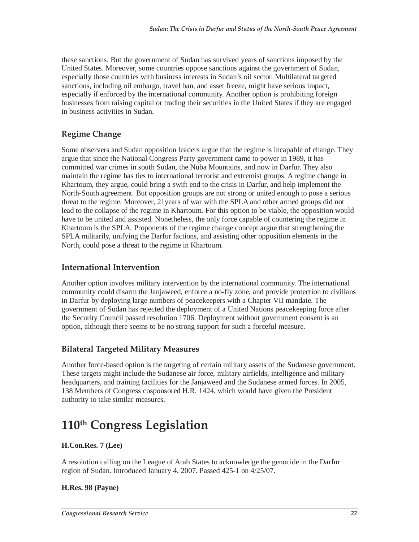these sanctions. But the government of Sudan has survived years of sanctions imposed by the United States. Moreover, some countries oppose sanctions against the government of Sudan, especially those countries with business interests in Sudan's oil sector. Multilateral targeted sanctions, including oil embargo, travel ban, and asset freeze, might have serious impact, especially if enforced by the international community. Another option is prohibiting foreign businesses from raising capital or trading their securities in the United States if they are engaged in business activities in Sudan.

#### **Regime Change**

Some observers and Sudan opposition leaders argue that the regime is incapable of change. They argue that since the National Congress Party government came to power in 1989, it has committed war crimes in south Sudan, the Nuba Mountains, and now in Darfur. They also maintain the regime has ties to international terrorist and extremist groups. A regime change in Khartoum, they argue, could bring a swift end to the crisis in Darfur, and help implement the North-South agreement. But opposition groups are not strong or united enough to pose a serious threat to the regime. Moreover, 21years of war with the SPLA and other armed groups did not lead to the collapse of the regime in Khartoum. For this option to be viable, the opposition would have to be united and assisted. Nonetheless, the only force capable of countering the regime in Khartoum is the SPLA. Proponents of the regime change concept argue that strengthening the SPLA militarily, unifying the Darfur factions, and assisting other opposition elements in the North, could pose a threat to the regime in Khartoum.

#### **International Intervention**

Another option involves military intervention by the international community. The international community could disarm the Janjaweed, enforce a no-fly zone, and provide protection to civilians in Darfur by deploying large numbers of peacekeepers with a Chapter VII mandate. The government of Sudan has rejected the deployment of a United Nations peacekeeping force after the Security Council passed resolution 1706. Deployment without government consent is an option, although there seems to be no strong support for such a forceful measure.

#### **Bilateral Targeted Military Measures**

Another force-based option is the targeting of certain military assets of the Sudanese government. These targets might include the Sudanese air force, military airfields, intelligence and military headquarters, and training facilities for the Janjaweed and the Sudanese armed forces. In 2005, 138 Members of Congress cosponsored H.R. 1424, which would have given the President authority to take similar measures.

## **110th Congress Legislation**

#### **H.Con.Res. 7 (Lee)**

A resolution calling on the League of Arab States to acknowledge the genocide in the Darfur region of Sudan. Introduced January 4, 2007. Passed 425-1 on 4/25/07.

#### **H.Res. 98 (Payne)**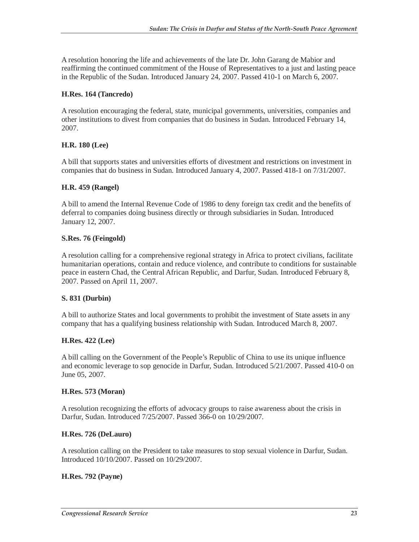A resolution honoring the life and achievements of the late Dr. John Garang de Mabior and reaffirming the continued commitment of the House of Representatives to a just and lasting peace in the Republic of the Sudan. Introduced January 24, 2007. Passed 410-1 on March 6, 2007.

#### **H.Res. 164 (Tancredo)**

A resolution encouraging the federal, state, municipal governments, universities, companies and other institutions to divest from companies that do business in Sudan. Introduced February 14, 2007.

#### **H.R. 180 (Lee)**

A bill that supports states and universities efforts of divestment and restrictions on investment in companies that do business in Sudan. Introduced January 4, 2007. Passed 418-1 on 7/31/2007.

#### **H.R. 459 (Rangel)**

A bill to amend the Internal Revenue Code of 1986 to deny foreign tax credit and the benefits of deferral to companies doing business directly or through subsidiaries in Sudan. Introduced January 12, 2007.

#### **S.Res. 76 (Feingold)**

A resolution calling for a comprehensive regional strategy in Africa to protect civilians, facilitate humanitarian operations, contain and reduce violence, and contribute to conditions for sustainable peace in eastern Chad, the Central African Republic, and Darfur, Sudan. Introduced February 8, 2007. Passed on April 11, 2007.

#### **S. 831 (Durbin)**

A bill to authorize States and local governments to prohibit the investment of State assets in any company that has a qualifying business relationship with Sudan. Introduced March 8, 2007.

#### **H.Res. 422 (Lee)**

A bill calling on the Government of the People's Republic of China to use its unique influence and economic leverage to sop genocide in Darfur, Sudan. Introduced 5/21/2007. Passed 410-0 on June 05, 2007.

#### **H.Res. 573 (Moran)**

A resolution recognizing the efforts of advocacy groups to raise awareness about the crisis in Darfur, Sudan. Introduced 7/25/2007. Passed 366-0 on 10/29/2007.

#### **H.Res. 726 (DeLauro)**

A resolution calling on the President to take measures to stop sexual violence in Darfur, Sudan. Introduced 10/10/2007. Passed on 10/29/2007.

#### **H.Res. 792 (Payne)**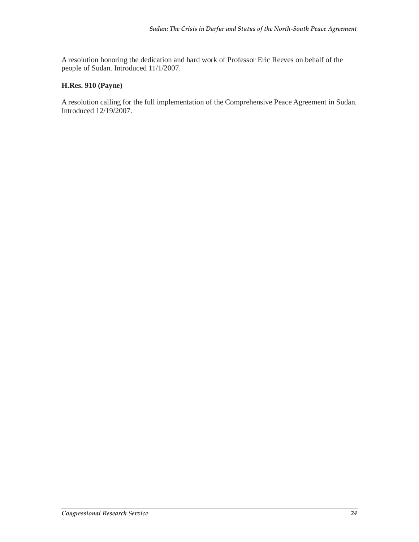A resolution honoring the dedication and hard work of Professor Eric Reeves on behalf of the people of Sudan. Introduced 11/1/2007.

#### **H.Res. 910 (Payne)**

A resolution calling for the full implementation of the Comprehensive Peace Agreement in Sudan. Introduced 12/19/2007.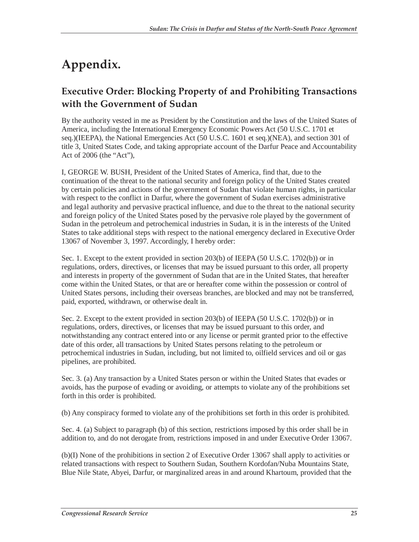## **Appendix.**

## **Executive Order: Blocking Property of and Prohibiting Transactions with the Government of Sudan**

By the authority vested in me as President by the Constitution and the laws of the United States of America, including the International Emergency Economic Powers Act (50 U.S.C. 1701 et seq.)(IEEPA), the National Emergencies Act (50 U.S.C. 1601 et seq.)(NEA), and section 301 of title 3, United States Code, and taking appropriate account of the Darfur Peace and Accountability Act of 2006 (the "Act"),

I, GEORGE W. BUSH, President of the United States of America, find that, due to the continuation of the threat to the national security and foreign policy of the United States created by certain policies and actions of the government of Sudan that violate human rights, in particular with respect to the conflict in Darfur, where the government of Sudan exercises administrative and legal authority and pervasive practical influence, and due to the threat to the national security and foreign policy of the United States posed by the pervasive role played by the government of Sudan in the petroleum and petrochemical industries in Sudan, it is in the interests of the United States to take additional steps with respect to the national emergency declared in Executive Order 13067 of November 3, 1997. Accordingly, I hereby order:

Sec. 1. Except to the extent provided in section 203(b) of IEEPA (50 U.S.C. 1702(b)) or in regulations, orders, directives, or licenses that may be issued pursuant to this order, all property and interests in property of the government of Sudan that are in the United States, that hereafter come within the United States, or that are or hereafter come within the possession or control of United States persons, including their overseas branches, are blocked and may not be transferred, paid, exported, withdrawn, or otherwise dealt in.

Sec. 2. Except to the extent provided in section 203(b) of IEEPA (50 U.S.C. 1702(b)) or in regulations, orders, directives, or licenses that may be issued pursuant to this order, and notwithstanding any contract entered into or any license or permit granted prior to the effective date of this order, all transactions by United States persons relating to the petroleum or petrochemical industries in Sudan, including, but not limited to, oilfield services and oil or gas pipelines, are prohibited.

Sec. 3. (a) Any transaction by a United States person or within the United States that evades or avoids, has the purpose of evading or avoiding, or attempts to violate any of the prohibitions set forth in this order is prohibited.

(b) Any conspiracy formed to violate any of the prohibitions set forth in this order is prohibited.

Sec. 4. (a) Subject to paragraph (b) of this section, restrictions imposed by this order shall be in addition to, and do not derogate from, restrictions imposed in and under Executive Order 13067.

(b)(I) None of the prohibitions in section 2 of Executive Order 13067 shall apply to activities or related transactions with respect to Southern Sudan, Southern Kordofan/Nuba Mountains State, Blue Nile State, Abyei, Darfur, or marginalized areas in and around Khartoum, provided that the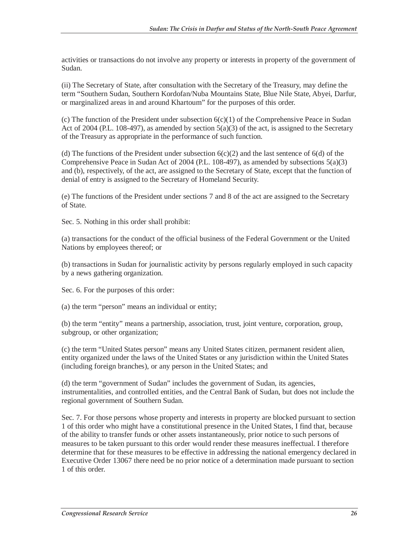activities or transactions do not involve any property or interests in property of the government of Sudan.

(ii) The Secretary of State, after consultation with the Secretary of the Treasury, may define the term "Southern Sudan, Southern Kordofan/Nuba Mountains State, Blue Nile State, Abyei, Darfur, or marginalized areas in and around Khartoum" for the purposes of this order.

(c) The function of the President under subsection  $6(c)(1)$  of the Comprehensive Peace in Sudan Act of 2004 (P.L. 108-497), as amended by section  $5(a)(3)$  of the act, is assigned to the Secretary of the Treasury as appropriate in the performance of such function.

(d) The functions of the President under subsection  $6(c)(2)$  and the last sentence of  $6(d)$  of the Comprehensive Peace in Sudan Act of 2004 (P.L. 108-497), as amended by subsections  $5(a)(3)$ and (b), respectively, of the act, are assigned to the Secretary of State, except that the function of denial of entry is assigned to the Secretary of Homeland Security.

(e) The functions of the President under sections 7 and 8 of the act are assigned to the Secretary of State.

Sec. 5. Nothing in this order shall prohibit:

(a) transactions for the conduct of the official business of the Federal Government or the United Nations by employees thereof; or

(b) transactions in Sudan for journalistic activity by persons regularly employed in such capacity by a news gathering organization.

Sec. 6. For the purposes of this order:

(a) the term "person" means an individual or entity;

(b) the term "entity" means a partnership, association, trust, joint venture, corporation, group, subgroup, or other organization;

(c) the term "United States person" means any United States citizen, permanent resident alien, entity organized under the laws of the United States or any jurisdiction within the United States (including foreign branches), or any person in the United States; and

(d) the term "government of Sudan" includes the government of Sudan, its agencies, instrumentalities, and controlled entities, and the Central Bank of Sudan, but does not include the regional government of Southern Sudan.

Sec. 7. For those persons whose property and interests in property are blocked pursuant to section 1 of this order who might have a constitutional presence in the United States, I find that, because of the ability to transfer funds or other assets instantaneously, prior notice to such persons of measures to be taken pursuant to this order would render these measures ineffectual. I therefore determine that for these measures to be effective in addressing the national emergency declared in Executive Order 13067 there need be no prior notice of a determination made pursuant to section 1 of this order.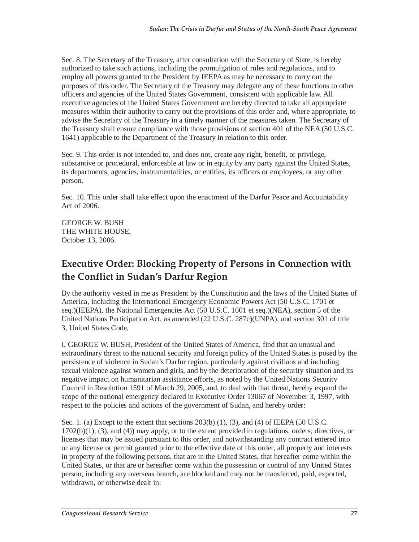Sec. 8. The Secretary of the Treasury, after consultation with the Secretary of State, is hereby authorized to take such actions, including the promulgation of rules and regulations, and to employ all powers granted to the President by IEEPA as may be necessary to carry out the purposes of this order. The Secretary of the Treasury may delegate any of these functions to other officers and agencies of the United States Government, consistent with applicable law. All executive agencies of the United States Government are hereby directed to take all appropriate measures within their authority to carry out the provisions of this order and, where appropriate, to advise the Secretary of the Treasury in a timely manner of the measures taken. The Secretary of the Treasury shall ensure compliance with those provisions of section 401 of the NEA (50 U.S.C. 1641) applicable to the Department of the Treasury in relation to this order.

Sec. 9. This order is not intended to, and does not, create any right, benefit, or privilege, substantive or procedural, enforceable at law or in equity by any party against the United States, its departments, agencies, instrumentalities, or entities, its officers or employees, or any other person.

Sec. 10. This order shall take effect upon the enactment of the Darfur Peace and Accountability Act of 2006.

GEORGE W. BUSH THE WHITE HOUSE, October 13, 2006.

## **Executive Order: Blocking Property of Persons in Connection with the Conflict in Sudan's Darfur Region**

By the authority vested in me as President by the Constitution and the laws of the United States of America, including the International Emergency Economic Powers Act (50 U.S.C. 1701 et seq.)(IEEPA), the National Emergencies Act (50 U.S.C. 1601 et seq.)(NEA), section 5 of the United Nations Participation Act, as amended (22 U.S.C. 287c)(UNPA), and section 301 of title 3, United States Code,

I, GEORGE W. BUSH, President of the United States of America, find that an unusual and extraordinary threat to the national security and foreign policy of the United States is posed by the persistence of violence in Sudan's Darfur region, particularly against civilians and including sexual violence against women and girls, and by the deterioration of the security situation and its negative impact on humanitarian assistance efforts, as noted by the United Nations Security Council in Resolution 1591 of March 29, 2005, and, to deal with that threat, hereby expand the scope of the national emergency declared in Executive Order 13067 of November 3, 1997, with respect to the policies and actions of the government of Sudan, and hereby order:

Sec. 1. (a) Except to the extent that sections  $203(b)$  (1), (3), and (4) of IEEPA (50 U.S.C. 1702(b)(1), (3), and (4)) may apply, or to the extent provided in regulations, orders, directives, or licenses that may be issued pursuant to this order, and notwithstanding any contract entered into or any license or permit granted prior to the effective date of this order, all property and interests in property of the following persons, that are in the United States, that hereafter come within the United States, or that are or hereafter come within the possession or control of any United States person, including any overseas branch, are blocked and may not be transferred, paid, exported, withdrawn, or otherwise dealt in: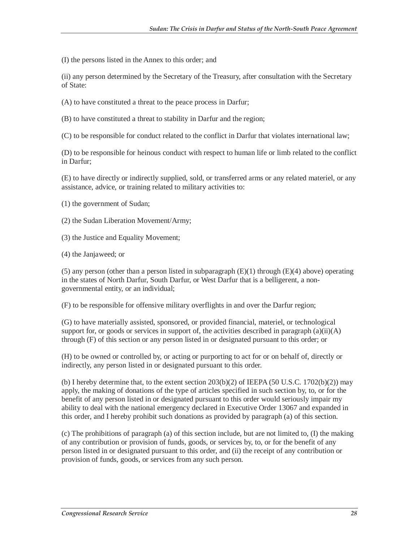(I) the persons listed in the Annex to this order; and

(ii) any person determined by the Secretary of the Treasury, after consultation with the Secretary of State:

(A) to have constituted a threat to the peace process in Darfur;

(B) to have constituted a threat to stability in Darfur and the region;

(C) to be responsible for conduct related to the conflict in Darfur that violates international law;

(D) to be responsible for heinous conduct with respect to human life or limb related to the conflict in Darfur;

(E) to have directly or indirectly supplied, sold, or transferred arms or any related materiel, or any assistance, advice, or training related to military activities to:

(1) the government of Sudan;

- (2) the Sudan Liberation Movement/Army;
- (3) the Justice and Equality Movement;
- (4) the Janjaweed; or

(5) any person (other than a person listed in subparagraph  $(E)(1)$  through  $(E)(4)$  above) operating in the states of North Darfur, South Darfur, or West Darfur that is a belligerent, a nongovernmental entity, or an individual;

(F) to be responsible for offensive military overflights in and over the Darfur region;

(G) to have materially assisted, sponsored, or provided financial, materiel, or technological support for, or goods or services in support of, the activities described in paragraph (a)(ii)(A) through (F) of this section or any person listed in or designated pursuant to this order; or

(H) to be owned or controlled by, or acting or purporting to act for or on behalf of, directly or indirectly, any person listed in or designated pursuant to this order.

(b) I hereby determine that, to the extent section  $203(b)(2)$  of IEEPA (50 U.S.C. 1702(b)(2)) may apply, the making of donations of the type of articles specified in such section by, to, or for the benefit of any person listed in or designated pursuant to this order would seriously impair my ability to deal with the national emergency declared in Executive Order 13067 and expanded in this order, and I hereby prohibit such donations as provided by paragraph (a) of this section.

(c) The prohibitions of paragraph (a) of this section include, but are not limited to, (I) the making of any contribution or provision of funds, goods, or services by, to, or for the benefit of any person listed in or designated pursuant to this order, and (ii) the receipt of any contribution or provision of funds, goods, or services from any such person.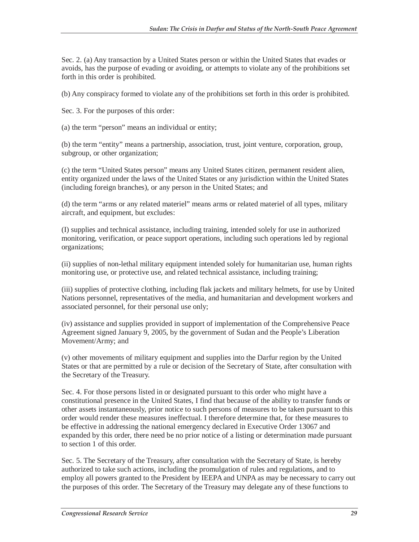Sec. 2. (a) Any transaction by a United States person or within the United States that evades or avoids, has the purpose of evading or avoiding, or attempts to violate any of the prohibitions set forth in this order is prohibited.

(b) Any conspiracy formed to violate any of the prohibitions set forth in this order is prohibited.

Sec. 3. For the purposes of this order:

(a) the term "person" means an individual or entity;

(b) the term "entity" means a partnership, association, trust, joint venture, corporation, group, subgroup, or other organization;

(c) the term "United States person" means any United States citizen, permanent resident alien, entity organized under the laws of the United States or any jurisdiction within the United States (including foreign branches), or any person in the United States; and

(d) the term "arms or any related materiel" means arms or related materiel of all types, military aircraft, and equipment, but excludes:

(I) supplies and technical assistance, including training, intended solely for use in authorized monitoring, verification, or peace support operations, including such operations led by regional organizations;

(ii) supplies of non-lethal military equipment intended solely for humanitarian use, human rights monitoring use, or protective use, and related technical assistance, including training;

(iii) supplies of protective clothing, including flak jackets and military helmets, for use by United Nations personnel, representatives of the media, and humanitarian and development workers and associated personnel, for their personal use only;

(iv) assistance and supplies provided in support of implementation of the Comprehensive Peace Agreement signed January 9, 2005, by the government of Sudan and the People's Liberation Movement/Army; and

(v) other movements of military equipment and supplies into the Darfur region by the United States or that are permitted by a rule or decision of the Secretary of State, after consultation with the Secretary of the Treasury.

Sec. 4. For those persons listed in or designated pursuant to this order who might have a constitutional presence in the United States, I find that because of the ability to transfer funds or other assets instantaneously, prior notice to such persons of measures to be taken pursuant to this order would render these measures ineffectual. I therefore determine that, for these measures to be effective in addressing the national emergency declared in Executive Order 13067 and expanded by this order, there need be no prior notice of a listing or determination made pursuant to section 1 of this order.

Sec. 5. The Secretary of the Treasury, after consultation with the Secretary of State, is hereby authorized to take such actions, including the promulgation of rules and regulations, and to employ all powers granted to the President by IEEPA and UNPA as may be necessary to carry out the purposes of this order. The Secretary of the Treasury may delegate any of these functions to